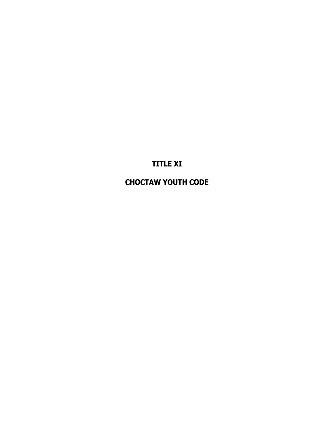**TITLE XI**

**CHOCTAW YOUTH CODE**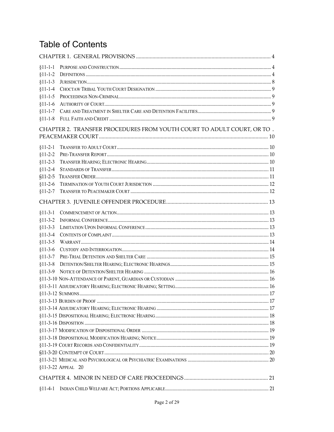# **Table of Contents**

| $§11-1-1$                                                               |                    |  |  |  |
|-------------------------------------------------------------------------|--------------------|--|--|--|
| $§11-1-2$                                                               |                    |  |  |  |
| $§11-1-3$                                                               |                    |  |  |  |
| $§11-1-4$                                                               |                    |  |  |  |
| $§11-1-5$                                                               |                    |  |  |  |
| $§11-1-6$                                                               |                    |  |  |  |
| $$11-1-7$                                                               |                    |  |  |  |
| $§11-1-8$                                                               |                    |  |  |  |
| CHAPTER 2. TRANSFER PROCEDURES FROM YOUTH COURT TO ADULT COURT, OR TO . |                    |  |  |  |
|                                                                         |                    |  |  |  |
| $§11-2-1$                                                               |                    |  |  |  |
| $$11-2-2$                                                               |                    |  |  |  |
| $§11-2-3$                                                               |                    |  |  |  |
| $§11-2-4$                                                               |                    |  |  |  |
| $$11-2-5$                                                               |                    |  |  |  |
| $$11-2-6$                                                               |                    |  |  |  |
| $$11-2-7$                                                               |                    |  |  |  |
|                                                                         |                    |  |  |  |
| $§11-3-1$                                                               |                    |  |  |  |
| $§11-3-2$                                                               |                    |  |  |  |
| $§11-3-3$                                                               |                    |  |  |  |
| $§11-3-4$                                                               |                    |  |  |  |
| $§11-3-5$                                                               |                    |  |  |  |
| $§11-3-6$                                                               |                    |  |  |  |
| $§11-3-7$                                                               |                    |  |  |  |
| $$11-3-8$                                                               |                    |  |  |  |
| $$11-3-9$                                                               |                    |  |  |  |
|                                                                         |                    |  |  |  |
|                                                                         |                    |  |  |  |
|                                                                         |                    |  |  |  |
|                                                                         |                    |  |  |  |
|                                                                         |                    |  |  |  |
|                                                                         |                    |  |  |  |
|                                                                         |                    |  |  |  |
|                                                                         |                    |  |  |  |
|                                                                         |                    |  |  |  |
|                                                                         |                    |  |  |  |
|                                                                         |                    |  |  |  |
|                                                                         |                    |  |  |  |
|                                                                         | §11-3-22 APPEAL 20 |  |  |  |
|                                                                         |                    |  |  |  |
| $$11-4-1$                                                               |                    |  |  |  |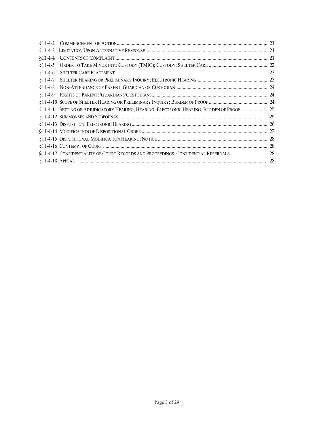| $$11-4-5$ |                                                                                            |  |
|-----------|--------------------------------------------------------------------------------------------|--|
| $$11-4-6$ |                                                                                            |  |
| $§11-4-7$ |                                                                                            |  |
| $§11-4-8$ |                                                                                            |  |
| $$11-4-9$ |                                                                                            |  |
|           |                                                                                            |  |
|           | §11-4-11 SETTING OF ADJUDICATORY HEARING; HEARING; ELECTRONIC HEARING; BURDEN OF PROOF  25 |  |
|           |                                                                                            |  |
|           |                                                                                            |  |
|           |                                                                                            |  |
|           |                                                                                            |  |
|           |                                                                                            |  |
|           | §11-4-17 CONFIDENTIALITY OF COURT RECORDS AND PROCEEDINGS; CONFIDENTIAL REFERRALS 28       |  |
|           |                                                                                            |  |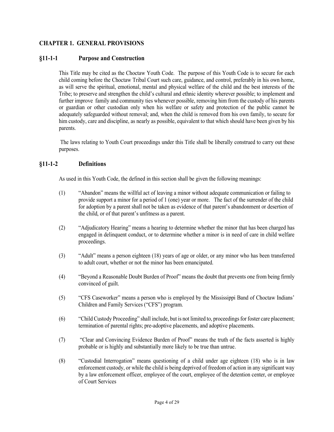# <span id="page-3-0"></span>**CHAPTER 1. GENERAL PROVISIONS**

## <span id="page-3-1"></span>**§11-1-1 Purpose and Construction**

This Title may be cited as the Choctaw Youth Code. The purpose of this Youth Code is to secure for each child coming before the Choctaw Tribal Court such care, guidance, and control, preferably in his own home, as will serve the spiritual, emotional, mental and physical welfare of the child and the best interests of the Tribe; to preserve and strengthen the child's cultural and ethnic identity wherever possible; to implement and further improve family and community ties whenever possible, removing him from the custody of his parents or guardian or other custodian only when his welfare or safety and protection of the public cannot be adequately safeguarded without removal; and, when the child is removed from his own family, to secure for him custody, care and discipline, as nearly as possible, equivalent to that which should have been given by his parents.

The laws relating to Youth Court proceedings under this Title shall be liberally construed to carry out these purposes.

#### <span id="page-3-2"></span>**§11-1-2 Definitions**

As used in this Youth Code, the defined in this section shall be given the following meanings:

- (1) "Abandon" means the willful act of leaving a minor without adequate communication or failing to provide support a minor for a period of 1 (one) year or more. The fact of the surrender of the child for adoption by a parent shall not be taken as evidence of that parent's abandonment or desertion of the child, or of that parent's unfitness as a parent.
- (2) "Adjudicatory Hearing" means a hearing to determine whether the minor that has been charged has engaged in delinquent conduct, or to determine whether a minor is in need of care in child welfare proceedings.
- (3) "Adult" means a person eighteen (18) years of age or older, or any minor who has been transferred to adult court, whether or not the minor has been emancipated.
- (4) "Beyond a Reasonable Doubt Burden of Proof" means the doubt that prevents one from being firmly convinced of guilt.
- (5) "CFS Caseworker" means a person who is employed by the Mississippi Band of Choctaw Indians' Children and Family Services ("CFS") program.
- (6) "Child Custody Proceeding" shall include, but is not limited to, proceedings for foster care placement; termination of parental rights; pre-adoptive placements, and adoptive placements.
- (7) "Clear and Convincing Evidence Burden of Proof" means the truth of the facts asserted is highly probable or is highly and substantially more likely to be true than untrue.
- (8) "Custodial Interrogation" means questioning of a child under age eighteen (18) who is in law enforcement custody, or while the child is being deprived of freedom of action in any significant way by a law enforcement officer, employee of the court, employee of the detention center, or employee of Court Services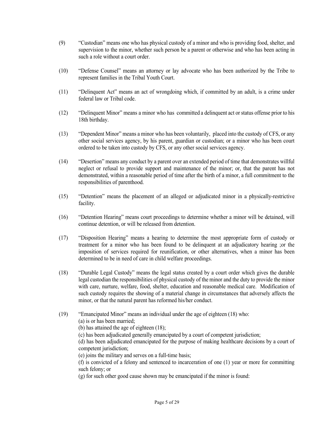- (9) "Custodian" means one who has physical custody of a minor and who is providing food, shelter, and supervision to the minor, whether such person be a parent or otherwise and who has been acting in such a role without a court order.
- (10) "Defense Counsel" means an attorney or lay advocate who has been authorized by the Tribe to represent families in the Tribal Youth Court.
- (11) "Delinquent Act" means an act of wrongdoing which, if committed by an adult, is a crime under federal law or Tribal code.
- (12) "Delinquent Minor" means a minor who has committed a delinquent act or status offense prior to his 18th birthday.
- (13) "Dependent Minor" means a minor who has been voluntarily, placed into the custody of CFS, or any other social services agency, by his parent, guardian or custodian; or a minor who has been court ordered to be taken into custody by CFS, or any other social services agency.
- (14) "Desertion" means any conduct by a parent over an extended period of time that demonstrates willful neglect or refusal to provide support and maintenance of the minor; or, that the parent has not demonstrated, within a reasonable period of time after the birth of a minor, a full commitment to the responsibilities of parenthood.
- (15) "Detention" means the placement of an alleged or adjudicated minor in a physically-restrictive facility.
- (16) "Detention Hearing" means court proceedings to determine whether a minor will be detained, will continue detention, or will be released from detention.
- (17) "Disposition Hearing" means a hearing to determine the most appropriate form of custody or treatment for a minor who has been found to be delinquent at an adjudicatory hearing ;or the imposition of services required for reunification, or other alternatives, when a minor has been determined to be in need of care in child welfare proceedings.
- (18) "Durable Legal Custody" means the legal status created by a court order which gives the durable legal custodian the responsibilities of physical custody of the minor and the duty to provide the minor with care, nurture, welfare, food, shelter, education and reasonable medical care. Modification of such custody requires the showing of a material change in circumstances that adversely affects the minor, or that the natural parent has reformed his/her conduct.
- (19) "Emancipated Minor" means an individual under the age of eighteen (18) who:

(a) is or has been married;

(b) has attained the age of eighteen (18);

(c) has been adjudicated generally emancipated by a court of competent jurisdiction;

(d) has been adjudicated emancipated for the purpose of making healthcare decisions by a court of competent jurisdiction;

(e) joins the military and serves on a full-time basis;

(f) is convicted of a felony and sentenced to incarceration of one (1) year or more for committing such felony; or

(g) for such other good cause shown may be emancipated if the minor is found: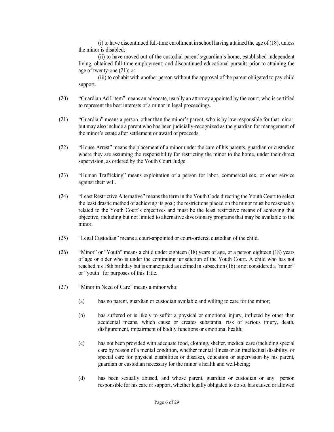$(i)$  to have discontinued full-time enrollment in school having attained the age of  $(18)$ , unless the minor is disabled;

(ii) to have moved out of the custodial parent's/guardian's home, established independent living, obtained full-time employment; and discontinued educational pursuits prior to attaining the age of twenty-one (21); or

(iii) to cohabit with another person without the approval of the parent obligated to pay child support.

- (20) "Guardian Ad Litem" means an advocate, usually an attorney appointed by the court, who is certified to represent the best interests of a minor in legal proceedings.
- (21) "Guardian" means a person, other than the minor's parent, who is by law responsible for that minor, but may also include a parent who has been judicially-recognized as the guardian for management of the minor's estate after settlement or award of proceeds.
- (22) "House Arrest" means the placement of a minor under the care of his parents, guardian or custodian where they are assuming the responsibility for restricting the minor to the home, under their direct supervision, as ordered by the Youth Court Judge.
- (23) "Human Trafficking" means exploitation of a person for labor, commercial sex, or other service against their will.
- (24) "Least Restrictive Alternative" means the term in the Youth Code directing the Youth Court to select the least drastic method of achieving its goal; the restrictions placed on the minor must be reasonably related to the Youth Court's objectives and must be the least restrictive means of achieving that objective, including but not limited to alternative diversionary programs that may be available to the minor.
- (25) "Legal Custodian" means a court-appointed or court-ordered custodian of the child.
- (26) "Minor" or "Youth" means a child under eighteen (18) years of age, or a person eighteen (18) years of age or older who is under the continuing jurisdiction of the Youth Court. A child who has not reached his 18th birthday but is emancipated as defined in subsection (16) is not considered a "minor" or "youth" for purposes of this Title.
- (27) "Minor in Need of Care" means a minor who:
	- (a) has no parent, guardian or custodian available and willing to care for the minor;
	- (b) has suffered or is likely to suffer a physical or emotional injury, inflicted by other than accidental means, which cause or creates substantial risk of serious injury, death, disfigurement, impairment of bodily functions or emotional health;
	- (c) has not been provided with adequate food, clothing, shelter, medical care (including special care by reason of a mental condition, whether mental illness or an intellectual disability, or special care for physical disabilities or disease), education or supervision by his parent, guardian or custodian necessary for the minor's health and well-being;
	- (d) has been sexually abused, and whose parent, guardian or custodian or any person responsible for his care or support, whether legally obligated to do so, has caused or allowed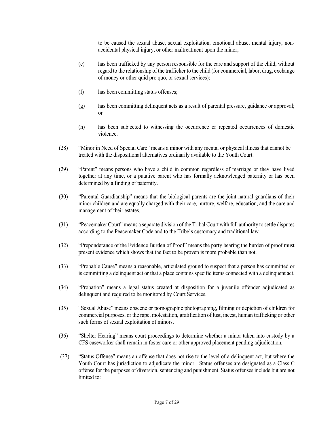to be caused the sexual abuse, sexual exploitation, emotional abuse, mental injury, nonaccidental physical injury, or other maltreatment upon the minor;

- (e) has been trafficked by any person responsible for the care and support of the child, without regard to the relationship of the trafficker to the child (for commercial, labor, drug, exchange of money or other quid pro quo, or sexual services);
- (f) has been committing status offenses;
- (g) has been committing delinquent acts as a result of parental pressure, guidance or approval; or
- (h) has been subjected to witnessing the occurrence or repeated occurrences of domestic violence.
- (28) "Minor in Need of Special Care" means a minor with any mental or physical illness that cannot be treated with the dispositional alternatives ordinarily available to the Youth Court.
- (29) "Parent" means persons who have a child in common regardless of marriage or they have lived together at any time, or a putative parent who has formally acknowledged paternity or has been determined by a finding of paternity.
- (30) "Parental Guardianship" means that the biological parents are the joint natural guardians of their minor children and are equally charged with their care, nurture, welfare, education, and the care and management of their estates.
- (31) "Peacemaker Court" means a separate division of the Tribal Court with full authority to settle disputes according to the Peacemaker Code and to the Tribe's customary and traditional law.
- (32) "Preponderance of the Evidence Burden of Proof" means the party bearing the burden of proof must present evidence which shows that the fact to be proven is more probable than not.
- (33) "Probable Cause" means a reasonable, articulated ground to suspect that a person has committed or is committing a delinquent act or that a place contains specific items connected with a delinquent act.
- (34) "Probation" means a legal status created at disposition for a juvenile offender adjudicated as delinquent and required to be monitored by Court Services.
- (35) "Sexual Abuse" means obscene or pornographic photographing, filming or depiction of children for commercial purposes, or the rape, molestation, gratification of lust, incest, human trafficking or other such forms of sexual exploitation of minors.
- (36) "Shelter Hearing" means court proceedings to determine whether a minor taken into custody by a CFS caseworker shall remain in foster care or other approved placement pending adjudication.
- (37) "Status Offense" means an offense that does not rise to the level of a delinquent act, but where the Youth Court has jurisdiction to adjudicate the minor. Status offenses are designated as a Class C offense for the purposes of diversion, sentencing and punishment. Status offenses include but are not limited to: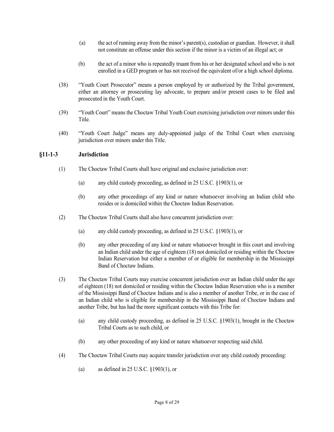- (a) the act of running away from the minor's parent(s), custodian or guardian. However, it shall not constitute an offense under this section if the minor is a victim of an illegal act; or
- (b) the act of a minor who is repeatedly truant from his or her designated school and who is not enrolled in a GED program or has not received the equivalent of/or a high school diploma.
- (38) "Youth Court Prosecutor" means a person employed by or authorized by the Tribal government, either an attorney or prosecuting lay advocate, to prepare and/or present cases to be filed and prosecuted in the Youth Court.
- (39) "Youth Court" means the Choctaw Tribal Youth Court exercising jurisdiction over minors under this Title.
- (40) "Youth Court Judge" means any duly-appointed judge of the Tribal Court when exercising jurisdiction over minors under this Title.

## <span id="page-7-0"></span>**§11-1-3 Jurisdiction**

- (1) The Choctaw Tribal Courts shall have original and exclusive jurisdiction over:
	- (a) any child custody proceeding, as defined in 25 U.S.C. §1903(1), or
	- (b) any other proceedings of any kind or nature whatsoever involving an Indian child who resides or is domiciled within the Choctaw Indian Reservation.
- (2) The Choctaw Tribal Courts shall also have concurrent jurisdiction over:
	- (a) any child custody proceeding, as defined in 25 U.S.C. §1903(1), or
	- (b) any other proceeding of any kind or nature whatsoever brought in this court and involving an Indian child under the age of eighteen (18) not domiciled or residing within the Choctaw Indian Reservation but either a member of or eligible for membership in the Mississippi Band of Choctaw Indians.
- (3) The Choctaw Tribal Courts may exercise concurrent jurisdiction over an Indian child under the age of eighteen (18) not domiciled or residing within the Choctaw Indian Reservation who is a member of the Mississippi Band of Choctaw Indians and is also a member of another Tribe, or in the case of an Indian child who is eligible for membership in the Mississippi Band of Choctaw Indians and another Tribe, but has had the more significant contacts with this Tribe for:
	- (a) any child custody proceeding, as defined in 25 U.S.C. §1903(1), brought in the Choctaw Tribal Courts as to such child, or
	- (b) any other proceeding of any kind or nature whatsoever respecting said child.
- (4) The Choctaw Tribal Courts may acquire transfer jurisdiction over any child custody proceeding:
	- (a) as defined in 25 U.S.C. §1903(1), or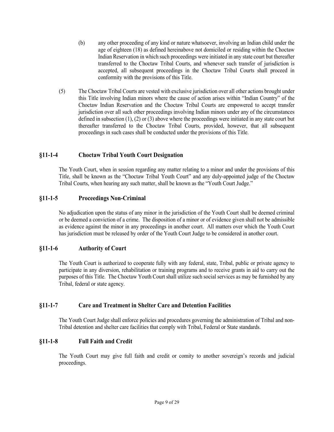- (b) any other proceeding of any kind or nature whatsoever, involving an Indian child under the age of eighteen (18) as defined hereinabove not domiciled or residing within the Choctaw Indian Reservation in which such proceedings were initiated in any state court but thereafter transferred to the Choctaw Tribal Courts, and whenever such transfer of jurisdiction is accepted, all subsequent proceedings in the Choctaw Tribal Courts shall proceed in conformity with the provisions of this Title.
- (5) The Choctaw Tribal Courts are vested with exclusive jurisdiction over all other actions brought under this Title involving Indian minors where the cause of action arises within "Indian Country" of the Choctaw Indian Reservation and the Choctaw Tribal Courts are empowered to accept transfer jurisdiction over all such other proceedings involving Indian minors under any of the circumstances defined in subsection (1), (2) or (3) above where the proceedings were initiated in any state court but thereafter transferred to the Choctaw Tribal Courts, provided, however, that all subsequent proceedings in such cases shall be conducted under the provisions of this Title.

# <span id="page-8-0"></span>**§11-1-4 Choctaw Tribal Youth Court Designation**

The Youth Court, when in session regarding any matter relating to a minor and under the provisions of this Title, shall be known as the "Choctaw Tribal Youth Court" and any duly-appointed judge of the Choctaw Tribal Courts, when hearing any such matter, shall be known as the "Youth Court Judge."

## <span id="page-8-1"></span>**§11-1-5 Proceedings Non-Criminal**

No adjudication upon the status of any minor in the jurisdiction of the Youth Court shall be deemed criminal or be deemed a conviction of a crime. The disposition of a minor or of evidence given shall not be admissible as evidence against the minor in any proceedings in another court. All matters over which the Youth Court has jurisdiction must be released by order of the Youth Court Judge to be considered in another court.

## <span id="page-8-2"></span>**§11-1-6 Authority of Court**

The Youth Court is authorized to cooperate fully with any federal, state, Tribal, public or private agency to participate in any diversion, rehabilitation or training programs and to receive grants in aid to carry out the purposes of this Title. The Choctaw Youth Court shall utilize such social services as may be furnished by any Tribal, federal or state agency.

## <span id="page-8-3"></span>**§11-1-7 Care and Treatment in Shelter Care and Detention Facilities**

The Youth Court Judge shall enforce policies and procedures governing the administration of Tribal and non-Tribal detention and shelter care facilities that comply with Tribal, Federal or State standards.

## <span id="page-8-4"></span>**§11-1-8 Full Faith and Credit**

The Youth Court may give full faith and credit or comity to another sovereign's records and judicial proceedings.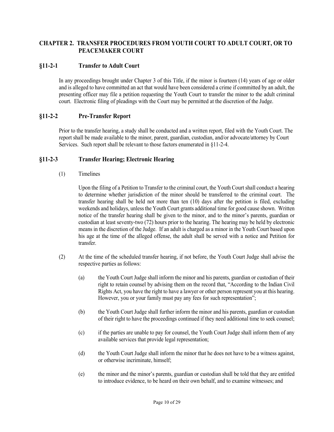# <span id="page-9-0"></span>**CHAPTER 2. TRANSFER PROCEDURES FROM YOUTH COURT TO ADULT COURT, OR TO PEACEMAKER COURT**

## <span id="page-9-1"></span>**§11-2-1 Transfer to Adult Court**

In any proceedings brought under Chapter 3 of this Title, if the minor is fourteen (14) years of age or older and is alleged to have committed an act that would have been considered a crime if committed by an adult, the presenting officer may file a petition requesting the Youth Court to transfer the minor to the adult criminal court. Electronic filing of pleadings with the Court may be permitted at the discretion of the Judge.

## <span id="page-9-2"></span>**§11-2-2 Pre-Transfer Report**

Prior to the transfer hearing, a study shall be conducted and a written report, filed with the Youth Court. The report shall be made available to the minor, parent, guardian, custodian, and/or advocate/attorney by Court Services. Such report shall be relevant to those factors enumerated in §11-2-4.

# <span id="page-9-3"></span>**§11-2-3 Transfer Hearing; Electronic Hearing**

(1) Timelines

Upon the filing of a Petition to Transfer to the criminal court, the Youth Court shall conduct a hearing to determine whether jurisdiction of the minor should be transferred to the criminal court. The transfer hearing shall be held not more than ten (10) days after the petition is filed, excluding weekends and holidays, unless the Youth Court grants additional time for good cause shown. Written notice of the transfer hearing shall be given to the minor, and to the minor's parents, guardian or custodian at least seventy-two (72) hours prior to the hearing. The hearing may be held by electronic means in the discretion of the Judge. If an adult is charged as a minor in the Youth Court based upon his age at the time of the alleged offense, the adult shall be served with a notice and Petition for transfer.

- (2) At the time of the scheduled transfer hearing, if not before, the Youth Court Judge shall advise the respective parties as follows:
	- (a) the Youth Court Judge shall inform the minor and his parents, guardian or custodian of their right to retain counsel by advising them on the record that, "According to the Indian Civil Rights Act, you have the right to have a lawyer or other person represent you at this hearing. However, you or your family must pay any fees for such representation";
	- (b) the Youth Court Judge shall further inform the minor and his parents, guardian or custodian of their right to have the proceedings continued if they need additional time to seek counsel;
	- (c) if the parties are unable to pay for counsel, the Youth Court Judge shall inform them of any available services that provide legal representation;
	- (d) the Youth Court Judge shall inform the minor that he does not have to be a witness against, or otherwise incriminate, himself;
	- (e) the minor and the minor's parents, guardian or custodian shall be told that they are entitled to introduce evidence, to be heard on their own behalf, and to examine witnesses; and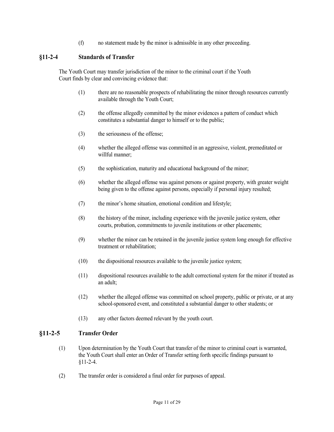(f) no statement made by the minor is admissible in any other proceeding.

## <span id="page-10-0"></span>**§11-2-4 Standards of Transfer**

The Youth Court may transfer jurisdiction of the minor to the criminal court if the Youth Court finds by clear and convincing evidence that:

- (1) there are no reasonable prospects of rehabilitating the minor through resources currently available through the Youth Court;
- (2) the offense allegedly committed by the minor evidences a pattern of conduct which constitutes a substantial danger to himself or to the public;
- (3) the seriousness of the offense;
- (4) whether the alleged offense was committed in an aggressive, violent, premeditated or willful manner;
- (5) the sophistication, maturity and educational background of the minor;
- (6) whether the alleged offense was against persons or against property, with greater weight being given to the offense against persons, especially if personal injury resulted;
- (7) the minor's home situation, emotional condition and lifestyle;
- (8) the history of the minor, including experience with the juvenile justice system, other courts, probation, commitments to juvenile institutions or other placements;
- (9) whether the minor can be retained in the juvenile justice system long enough for effective treatment or rehabilitation;
- (10) the dispositional resources available to the juvenile justice system;
- (11) dispositional resources available to the adult correctional system for the minor if treated as an adult;
- (12) whether the alleged offense was committed on school property, public or private, or at any school-sponsored event, and constituted a substantial danger to other students; or
- (13) any other factors deemed relevant by the youth court.

## <span id="page-10-1"></span>**§11-2-5 Transfer Order**

- (1) Upon determination by the Youth Court that transfer of the minor to criminal court is warranted, the Youth Court shall enter an Order of Transfer setting forth specific findings pursuant to §11-2-4.
- (2) The transfer order is considered a final order for purposes of appeal.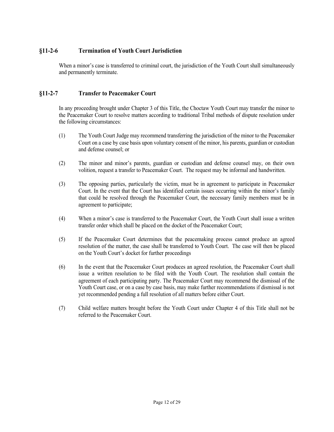# <span id="page-11-0"></span>**§11-2-6 Termination of Youth Court Jurisdiction**

When a minor's case is transferred to criminal court, the jurisdiction of the Youth Court shall simultaneously and permanently terminate.

# <span id="page-11-1"></span>**§11-2-7 Transfer to Peacemaker Court**

In any proceeding brought under Chapter 3 of this Title, the Choctaw Youth Court may transfer the minor to the Peacemaker Court to resolve matters according to traditional Tribal methods of dispute resolution under the following circumstances:

- (1) The Youth Court Judge may recommend transferring the jurisdiction of the minor to the Peacemaker Court on a case by case basis upon voluntary consent of the minor, his parents, guardian or custodian and defense counsel; or
- (2) The minor and minor's parents, guardian or custodian and defense counsel may, on their own volition, request a transfer to Peacemaker Court. The request may be informal and handwritten.
- (3) The opposing parties, particularly the victim, must be in agreement to participate in Peacemaker Court. In the event that the Court has identified certain issues occurring within the minor's family that could be resolved through the Peacemaker Court, the necessary family members must be in agreement to participate;
- (4) When a minor's case is transferred to the Peacemaker Court, the Youth Court shall issue a written transfer order which shall be placed on the docket of the Peacemaker Court;
- (5) If the Peacemaker Court determines that the peacemaking process cannot produce an agreed resolution of the matter, the case shall be transferred to Youth Court. The case will then be placed on the Youth Court's docket for further proceedings
- (6) In the event that the Peacemaker Court produces an agreed resolution, the Peacemaker Court shall issue a written resolution to be filed with the Youth Court. The resolution shall contain the agreement of each participating party. The Peacemaker Court may recommend the dismissal of the Youth Court case, or on a case by case basis, may make further recommendations if dismissal is not yet recommended pending a full resolution of all matters before either Court.
- (7) Child welfare matters brought before the Youth Court under Chapter 4 of this Title shall not be referred to the Peacemaker Court.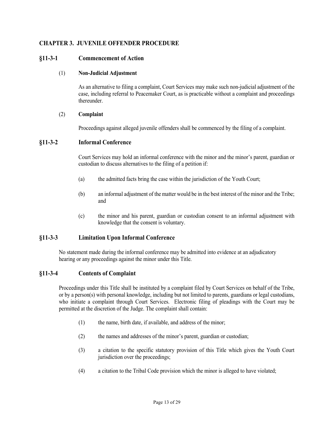# <span id="page-12-0"></span>**CHAPTER 3. JUVENILE OFFENDER PROCEDURE**

## <span id="page-12-1"></span>**§11-3-1 Commencement of Action**

#### (1) **Non-Judicial Adjustment**

As an alternative to filing a complaint, Court Services may make such non-judicial adjustment of the case, including referral to Peacemaker Court, as is practicable without a complaint and proceedings thereunder.

#### (2) **Complaint**

Proceedings against alleged juvenile offenders shall be commenced by the filing of a complaint.

## <span id="page-12-2"></span>**§11-3-2 Informal Conference**

Court Services may hold an informal conference with the minor and the minor's parent, guardian or custodian to discuss alternatives to the filing of a petition if:

- (a) the admitted facts bring the case within the jurisdiction of the Youth Court;
- (b) an informal adjustment of the matter would be in the best interest of the minor and the Tribe; and
- (c) the minor and his parent, guardian or custodian consent to an informal adjustment with knowledge that the consent is voluntary.

## <span id="page-12-3"></span>**§11-3-3 Limitation Upon Informal Conference**

No statement made during the informal conference may be admitted into evidence at an adjudicatory hearing or any proceedings against the minor under this Title.

#### <span id="page-12-4"></span>**§11-3-4 Contents of Complaint**

Proceedings under this Title shall be instituted by a complaint filed by Court Services on behalf of the Tribe, or by a person(s) with personal knowledge, including but not limited to parents, guardians or legal custodians, who initiate a complaint through Court Services. Electronic filing of pleadings with the Court may be permitted at the discretion of the Judge. The complaint shall contain:

- (1) the name, birth date, if available, and address of the minor;
- (2) the names and addresses of the minor's parent, guardian or custodian;
- (3) a citation to the specific statutory provision of this Title which gives the Youth Court jurisdiction over the proceedings;
- (4) a citation to the Tribal Code provision which the minor is alleged to have violated;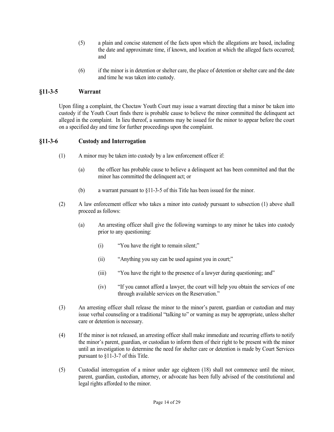- (5) a plain and concise statement of the facts upon which the allegations are based, including the date and approximate time, if known, and location at which the alleged facts occurred; and
- (6) if the minor is in detention or shelter care, the place of detention or shelter care and the date and time he was taken into custody.

# <span id="page-13-0"></span>**§11-3-5 Warrant**

Upon filing a complaint, the Choctaw Youth Court may issue a warrant directing that a minor be taken into custody if the Youth Court finds there is probable cause to believe the minor committed the delinquent act alleged in the complaint. In lieu thereof, a summons may be issued for the minor to appear before the court on a specified day and time for further proceedings upon the complaint.

## <span id="page-13-1"></span>**§11-3-6 Custody and Interrogation**

- (1) A minor may be taken into custody by a law enforcement officer if:
	- (a) the officer has probable cause to believe a delinquent act has been committed and that the minor has committed the delinquent act; or
	- (b) a warrant pursuant to §11-3-5 of this Title has been issued for the minor.
- (2) A law enforcement officer who takes a minor into custody pursuant to subsection (1) above shall proceed as follows:
	- (a) An arresting officer shall give the following warnings to any minor he takes into custody prior to any questioning:
		- (i) "You have the right to remain silent;"
		- (ii) "Anything you say can be used against you in court;"
		- (iii) "You have the right to the presence of a lawyer during questioning; and"
		- (iv) "If you cannot afford a lawyer, the court will help you obtain the services of one through available services on the Reservation."
- (3) An arresting officer shall release the minor to the minor's parent, guardian or custodian and may issue verbal counseling or a traditional "talking to" or warning as may be appropriate, unless shelter care or detention is necessary.
- (4) If the minor is not released, an arresting officer shall make immediate and recurring efforts to notify the minor's parent, guardian, or custodian to inform them of their right to be present with the minor until an investigation to determine the need for shelter care or detention is made by Court Services pursuant to §11-3-7 of this Title.
- (5) Custodial interrogation of a minor under age eighteen (18) shall not commence until the minor, parent, guardian, custodian, attorney, or advocate has been fully advised of the constitutional and legal rights afforded to the minor.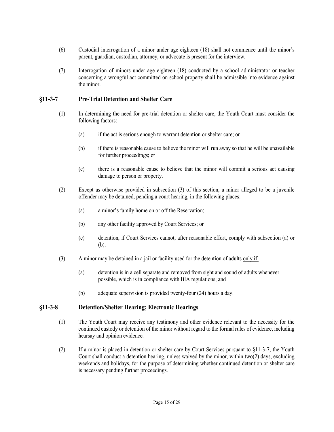- (6) Custodial interrogation of a minor under age eighteen (18) shall not commence until the minor's parent, guardian, custodian, attorney, or advocate is present for the interview.
- (7) Interrogation of minors under age eighteen (18) conducted by a school administrator or teacher concerning a wrongful act committed on school property shall be admissible into evidence against the minor.

## <span id="page-14-0"></span>**§11-3-7 Pre-Trial Detention and Shelter Care**

- (1) In determining the need for pre-trial detention or shelter care, the Youth Court must consider the following factors:
	- (a) if the act is serious enough to warrant detention or shelter care; or
	- (b) if there is reasonable cause to believe the minor will run away so that he will be unavailable for further proceedings; or
	- (c) there is a reasonable cause to believe that the minor will commit a serious act causing damage to person or property.
- (2) Except as otherwise provided in subsection (3) of this section, a minor alleged to be a juvenile offender may be detained, pending a court hearing, in the following places:
	- (a) a minor's family home on or off the Reservation;
	- (b) any other facility approved by Court Services; or
	- (c) detention, if Court Services cannot, after reasonable effort, comply with subsection (a) or (b).
- (3) A minor may be detained in a jail or facility used for the detention of adults only if:
	- (a) detention is in a cell separate and removed from sight and sound of adults whenever possible, which is in compliance with BIA regulations; and
	- (b) adequate supervision is provided twenty-four (24) hours a day.

## <span id="page-14-1"></span>**§11-3-8 Detention/Shelter Hearing; Electronic Hearings**

- (1) The Youth Court may receive any testimony and other evidence relevant to the necessity for the continued custody or detention of the minor without regard to the formal rules of evidence, including hearsay and opinion evidence.
- (2) If a minor is placed in detention or shelter care by Court Services pursuant to §11-3-7, the Youth Court shall conduct a detention hearing, unless waived by the minor, within two( $2$ ) days, excluding weekends and holidays, for the purpose of determining whether continued detention or shelter care is necessary pending further proceedings.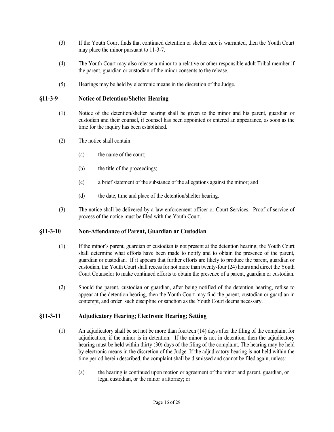- (3) If the Youth Court finds that continued detention or shelter care is warranted, then the Youth Court may place the minor pursuant to 11-3-7.
- (4) The Youth Court may also release a minor to a relative or other responsible adult Tribal member if the parent, guardian or custodian of the minor consents to the release.
- (5) Hearings may be held by electronic means in the discretion of the Judge.

## <span id="page-15-0"></span>**§11-3-9 Notice of Detention/Shelter Hearing**

- (1) Notice of the detention/shelter hearing shall be given to the minor and his parent, guardian or custodian and their counsel, if counsel has been appointed or entered an appearance, as soon as the time for the inquiry has been established.
- (2) The notice shall contain:
	- (a) the name of the court;
	- (b) the title of the proceedings;
	- (c) a brief statement of the substance of the allegations against the minor; and
	- (d) the date, time and place of the detention/shelter hearing.
- (3) The notice shall be delivered by a law enforcement officer or Court Services. Proof of service of process of the notice must be filed with the Youth Court.

#### <span id="page-15-1"></span>**§11-3-10 Non-Attendance of Parent, Guardian or Custodian**

- (1) If the minor's parent, guardian or custodian is not present at the detention hearing, the Youth Court shall determine what efforts have been made to notify and to obtain the presence of the parent, guardian or custodian. If it appears that further efforts are likely to produce the parent, guardian or custodian, the Youth Court shall recess for not more than twenty-four (24) hours and direct the Youth Court Counselor to make continued efforts to obtain the presence of a parent, guardian or custodian.
- (2) Should the parent, custodian or guardian, after being notified of the detention hearing, refuse to appear at the detention hearing, then the Youth Court may find the parent, custodian or guardian in contempt, and order such discipline or sanction as the Youth Court deems necessary.

## <span id="page-15-2"></span>**§11-3-11 Adjudicatory Hearing; Electronic Hearing; Setting**

- (1) An adjudicatory shall be set not be more than fourteen (14) days after the filing of the complaint for adjudication, if the minor is in detention. If the minor is not in detention, then the adjudicatory hearing must be held within thirty (30) days of the filing of the complaint. The hearing may be held by electronic means in the discretion of the Judge. If the adjudicatory hearing is not held within the time period herein described, the complaint shall be dismissed and cannot be filed again, unless:
	- (a) the hearing is continued upon motion or agreement of the minor and parent, guardian, or legal custodian, or the minor's attorney; or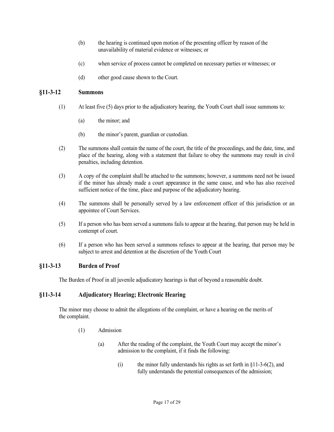- (b) the hearing is continued upon motion of the presenting officer by reason of the unavailability of material evidence or witnesses; or
- (c) when service of process cannot be completed on necessary parties or witnesses; or
- (d) other good cause shown to the Court.

## <span id="page-16-0"></span>**§11-3-12 Summons**

- (1) At least five (5) days prior to the adjudicatory hearing, the Youth Court shall issue summons to:
	- (a) the minor; and
	- (b) the minor's parent, guardian or custodian.
- (2) The summons shall contain the name of the court, the title of the proceedings, and the date, time, and place of the hearing, along with a statement that failure to obey the summons may result in civil penalties, including detention.
- (3) A copy of the complaint shall be attached to the summons; however, a summons need not be issued if the minor has already made a court appearance in the same cause, and who has also received sufficient notice of the time, place and purpose of the adjudicatory hearing.
- (4) The summons shall be personally served by a law enforcement officer of this jurisdiction or an appointee of Court Services.
- (5) If a person who has been served a summons fails to appear at the hearing, that person may be held in contempt of court.
- (6) If a person who has been served a summons refuses to appear at the hearing, that person may be subject to arrest and detention at the discretion of the Youth Court

#### <span id="page-16-1"></span>**§11-3-13 Burden of Proof**

The Burden of Proof in all juvenile adjudicatory hearings is that of beyond a reasonable doubt.

#### <span id="page-16-2"></span>**§11-3-14 Adjudicatory Hearing; Electronic Hearing**

The minor may choose to admit the allegations of the complaint, or have a hearing on the merits of the complaint.

- (1) Admission
	- (a) After the reading of the complaint, the Youth Court may accept the minor's admission to the complaint, if it finds the following:
		- (i) the minor fully understands his rights as set forth in  $\S11-3-6(2)$ , and fully understands the potential consequences of the admission;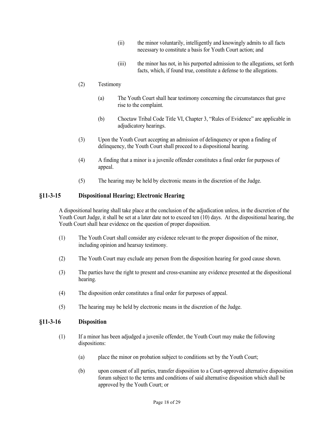- (ii) the minor voluntarily, intelligently and knowingly admits to all facts necessary to constitute a basis for Youth Court action; and
- (iii) the minor has not, in his purported admission to the allegations, set forth facts, which, if found true, constitute a defense to the allegations.

## (2) Testimony

- (a) The Youth Court shall hear testimony concerning the circumstances that gave rise to the complaint.
- (b) Choctaw Tribal Code Title VI, Chapter 3, "Rules of Evidence" are applicable in adjudicatory hearings.
- (3) Upon the Youth Court accepting an admission of delinquency or upon a finding of delinquency, the Youth Court shall proceed to a dispositional hearing.
- (4) A finding that a minor is a juvenile offender constitutes a final order for purposes of appeal.
- (5) The hearing may be held by electronic means in the discretion of the Judge.

## <span id="page-17-0"></span>**§11-3-15 Dispositional Hearing; Electronic Hearing**

A dispositional hearing shall take place at the conclusion of the adjudication unless, in the discretion of the Youth Court Judge, it shall be set at a later date not to exceed ten (10) days. At the dispositional hearing, the Youth Court shall hear evidence on the question of proper disposition.

- (1) The Youth Court shall consider any evidence relevant to the proper disposition of the minor, including opinion and hearsay testimony.
- (2) The Youth Court may exclude any person from the disposition hearing for good cause shown.
- (3) The parties have the right to present and cross-examine any evidence presented at the dispositional hearing.
- (4) The disposition order constitutes a final order for purposes of appeal.
- (5) The hearing may be held by electronic means in the discretion of the Judge.

#### <span id="page-17-1"></span>**§11-3-16 Disposition**

- (1) If a minor has been adjudged a juvenile offender, the Youth Court may make the following dispositions:
	- (a) place the minor on probation subject to conditions set by the Youth Court;
	- (b) upon consent of all parties, transfer disposition to a Court-approved alternative disposition forum subject to the terms and conditions of said alternative disposition which shall be approved by the Youth Court; or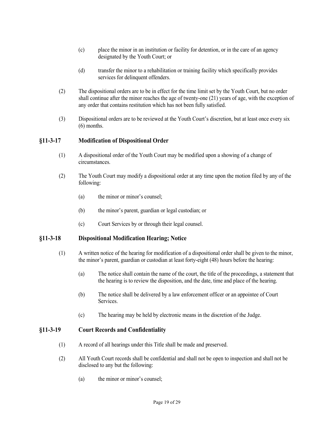- (c) place the minor in an institution or facility for detention, or in the care of an agency designated by the Youth Court; or
- (d) transfer the minor to a rehabilitation or training facility which specifically provides services for delinquent offenders.
- (2) The dispositional orders are to be in effect for the time limit set by the Youth Court, but no order shall continue after the minor reaches the age of twenty-one (21) years of age, with the exception of any order that contains restitution which has not been fully satisfied.
- (3) Dispositional orders are to be reviewed at the Youth Court's discretion, but at least once every six (6) months.

## <span id="page-18-0"></span>**§11-3-17 Modification of Dispositional Order**

- (1) A dispositional order of the Youth Court may be modified upon a showing of a change of circumstances.
- (2) The Youth Court may modify a dispositional order at any time upon the motion filed by any of the following:
	- (a) the minor or minor's counsel;
	- (b) the minor's parent, guardian or legal custodian; or
	- (c) Court Services by or through their legal counsel.

#### <span id="page-18-1"></span>**§11-3-18 Dispositional Modification Hearing; Notice**

- (1) A written notice of the hearing for modification of a dispositional order shall be given to the minor, the minor's parent, guardian or custodian at least forty-eight (48) hours before the hearing:
	- (a) The notice shall contain the name of the court, the title of the proceedings, a statement that the hearing is to review the disposition, and the date, time and place of the hearing.
	- (b) The notice shall be delivered by a law enforcement officer or an appointee of Court **Services**
	- (c) The hearing may be held by electronic means in the discretion of the Judge.

#### <span id="page-18-2"></span>**§11-3-19 Court Records and Confidentiality**

- (1) A record of all hearings under this Title shall be made and preserved.
- (2) All Youth Court records shall be confidential and shall not be open to inspection and shall not be disclosed to any but the following:
	- (a) the minor or minor's counsel;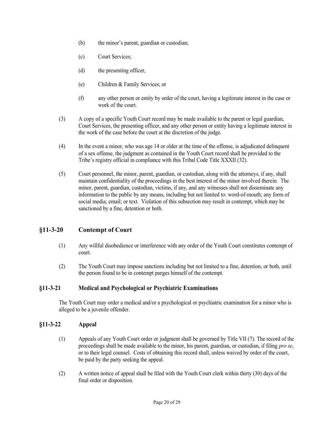- (b) the minor's parent, guardian or custodian;
- (c) Court Services;
- (d) the presenting officer,
- (e) Children & Family Services; or
- (f) any other person or entity by order of the court, having a legitimate interest in the case or work of the court.
- (3) A copy of a specific Youth Court record may be made available to the parent or legal guardian, Court Services, the presenting officer, and any other person or entity having a legitimate interest in the work of the case before the court at the discretion of the judge.
- (4) In the event a minor, who was age 14 or older at the time of the offense, is adjudicated delinquent of a sex offense, the judgment as contained in the Youth Court record shall be provided to the Tribe's registry official in compliance with this Tribal Code Title XXXII (32).
- (5) Court personnel, the minor, parent, guardian, or custodian, along with the attorneys, if any, shall maintain confidentiality of the proceedings in the best interest of the minor involved therein. The minor, parent, guardian, custodian, victims, if any, and any witnesses shall not disseminate any information to the public by any means, including but not limited to: word-of-mouth; any form of social media; email; or text. Violation of this subsection may result in contempt, which may be sanctioned by a fine, detention or both.

## <span id="page-19-0"></span>**§11-3-20 Contempt of Court**

- (1) Any willful disobedience or interference with any order of the Youth Court constitutes contempt of court.
- (2) The Youth Court may impose sanctions including but not limited to a fine, detention, or both, until the person found to be in contempt purges himself of the contempt.

## <span id="page-19-1"></span>**§11-3-21 Medical and Psychological or Psychiatric Examinations**

The Youth Court may order a medical and/or a psychological or psychiatric examination for a minor who is alleged to be a juvenile offender.

## <span id="page-19-2"></span>**§11-3-22 Appeal**

- (1) Appeals of any Youth Court order or judgment shall be governed by Title VII (7). The record of the proceedings shall be made available to the minor, his parent, guardian, or custodian, if filing *pro se*, or to their legal counsel. Costs of obtaining this record shall, unless waived by order of the court, be paid by the party seeking the appeal.
- (2) A written notice of appeal shall be filed with the Youth Court clerk within thirty (30) days of the final order or disposition.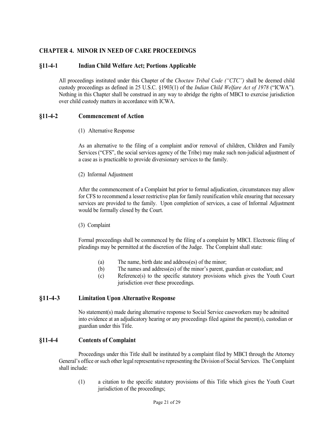# <span id="page-20-0"></span>**CHAPTER 4. MINOR IN NEED OF CARE PROCEEDINGS**

## <span id="page-20-1"></span>**§11-4-1 Indian Child Welfare Act; Portions Applicable**

All proceedings instituted under this Chapter of the *Choctaw Tribal Code ("CTC")* shall be deemed child custody proceedings as defined in 25 U.S.C. §1903(1) of the *Indian Child Welfare Act of 1978* ("ICWA"). Nothing in this Chapter shall be construed in any way to abridge the rights of MBCI to exercise jurisdiction over child custody matters in accordance with ICWA.

## <span id="page-20-2"></span>**§11-4-2 Commencement of Action**

(1) Alternative Response

As an alternative to the filing of a complaint and/or removal of children, Children and Family Services ("CFS", the social services agency of the Tribe) may make such non-judicial adjustment of a case as is practicable to provide diversionary services to the family.

(2) Informal Adjustment

After the commencement of a Complaint but prior to formal adjudication, circumstances may allow for CFS to recommend a lesser restrictive plan for family reunification while ensuring that necessary services are provided to the family. Upon completion of services, a case of Informal Adjustment would be formally closed by the Court.

(3) Complaint

Formal proceedings shall be commenced by the filing of a complaint by MBCI. Electronic filing of pleadings may be permitted at the discretion of the Judge. The Complaint shall state:

- (a) The name, birth date and address(es) of the minor;
- (b) The names and address(es) of the minor's parent, guardian or custodian; and
- (c) Reference(s) to the specific statutory provisions which gives the Youth Court jurisdiction over these proceedings.

## <span id="page-20-3"></span>**§11-4-3 Limitation Upon Alternative Response**

No statement(s) made during alternative response to Social Service caseworkers may be admitted into evidence at an adjudicatory hearing or any proceedings filed against the parent(s), custodian or guardian under this Title.

#### <span id="page-20-4"></span>**§11-4-4 Contents of Complaint**

Proceedings under this Title shall be instituted by a complaint filed by MBCI through the Attorney General's office or such other legal representative representing the Division of Social Services. The Complaint shall include:

(1) a citation to the specific statutory provisions of this Title which gives the Youth Court jurisdiction of the proceedings;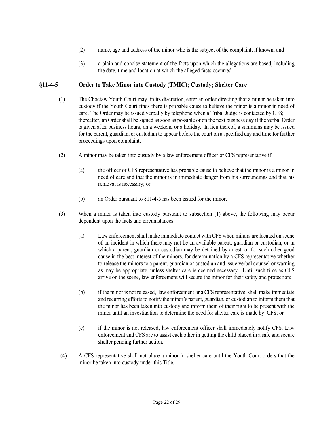- (2) name, age and address of the minor who is the subject of the complaint, if known; and
- (3) a plain and concise statement of the facts upon which the allegations are based, including the date, time and location at which the alleged facts occurred.

# <span id="page-21-0"></span>**§11-4-5 Order to Take Minor into Custody (TMIC); Custody; Shelter Care**

- (1) The Choctaw Youth Court may, in its discretion, enter an order directing that a minor be taken into custody if the Youth Court finds there is probable cause to believe the minor is a minor in need of care. The Order may be issued verbally by telephone when a Tribal Judge is contacted by CFS; thereafter, an Order shall be signed as soon as possible or on the next business day if the verbal Order is given after business hours, on a weekend or a holiday. In lieu thereof, a summons may be issued for the parent, guardian, or custodian to appear before the court on a specified day and time for further proceedings upon complaint.
- (2) A minor may be taken into custody by a law enforcement officer or CFS representative if:
	- (a) the officer or CFS representative has probable cause to believe that the minor is a minor in need of care and that the minor is in immediate danger from his surroundings and that his removal is necessary; or
	- (b) an Order pursuant to §11-4-5 has been issued for the minor.
- (3) When a minor is taken into custody pursuant to subsection (1) above, the following may occur dependent upon the facts and circumstances:
	- (a) Law enforcement shall make immediate contact with CFS when minors are located on scene of an incident in which there may not be an available parent, guardian or custodian, or in which a parent, guardian or custodian may be detained by arrest, or for such other good cause in the best interest of the minors, for determination by a CFS representative whether to release the minors to a parent, guardian or custodian and issue verbal counsel or warning as may be appropriate, unless shelter care is deemed necessary. Until such time as CFS arrive on the scene, law enforcement will secure the minor for their safety and protection;
	- (b) if the minor is not released, law enforcement or a CFS representative shall make immediate and recurring efforts to notify the minor's parent, guardian, or custodian to inform them that the minor has been taken into custody and inform them of their right to be present with the minor until an investigation to determine the need for shelter care is made by CFS; or
	- (c) if the minor is not released, law enforcement officer shall immediately notify CFS. Law enforcement and CFS are to assist each other in getting the child placed in a safe and secure shelter pending further action.
- (4) A CFS representative shall not place a minor in shelter care until the Youth Court orders that the minor be taken into custody under this Title.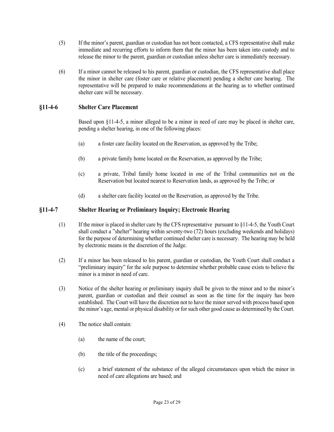- (5) If the minor's parent, guardian or custodian has not been contacted, a CFS representative shall make immediate and recurring efforts to inform them that the minor has been taken into custody and to release the minor to the parent, guardian or custodian unless shelter care is immediately necessary.
- (6) If a minor cannot be released to his parent, guardian or custodian, the CFS representative shall place the minor in shelter care (foster care or relative placement) pending a shelter care hearing. The representative will be prepared to make recommendations at the hearing as to whether continued shelter care will be necessary.

## <span id="page-22-0"></span>**§11-4-6 Shelter Care Placement**

Based upon §11-4-5, a minor alleged to be a minor in need of care may be placed in shelter care, pending a shelter hearing, in one of the following places:

- (a) a foster care facility located on the Reservation, as approved by the Tribe;
- (b) a private family home located on the Reservation, as approved by the Tribe;
- (c) a private, Tribal family home located in one of the Tribal communities not on the Reservation but located nearest to Reservation lands, as approved by the Tribe; or
- (d) a shelter care facility located on the Reservation, as approved by the Tribe.

## <span id="page-22-1"></span>**§11-4-7 Shelter Hearing or Preliminary Inquiry; Electronic Hearing**

- (1) If the minor is placed in shelter care by the CFS representative pursuant to §11-4-5, the Youth Court shall conduct a "shelter" hearing within seventy-two (72) hours (excluding weekends and holidays) for the purpose of determining whether continued shelter care is necessary. The hearing may be held by electronic means in the discretion of the Judge.
- (2) If a minor has been released to his parent, guardian or custodian, the Youth Court shall conduct a "preliminary inquiry" for the sole purpose to determine whether probable cause exists to believe the minor is a minor in need of care.
- (3) Notice of the shelter hearing or preliminary inquiry shall be given to the minor and to the minor's parent, guardian or custodian and their counsel as soon as the time for the inquiry has been established. The Court will have the discretion not to have the minor served with process based upon the minor's age, mental or physical disability or for such other good cause as determined by the Court.
- (4) The notice shall contain:
	- (a) the name of the court;
	- (b) the title of the proceedings;
	- (c) a brief statement of the substance of the alleged circumstances upon which the minor in need of care allegations are based; and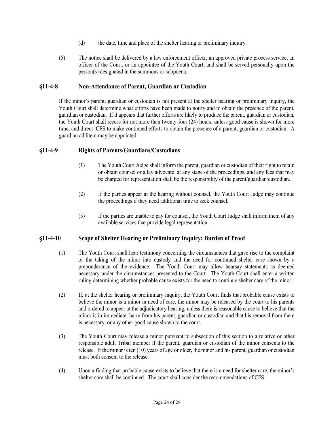- (d) the date, time and place of the shelter hearing or preliminary inquiry.
- (5) The notice shall be delivered by a law enforcement officer, an approved private process service, an officer of the Court, or an appointee of the Youth Court, and shall be served personally upon the person(s) designated in the summons or subpoena.

## <span id="page-23-0"></span>**§11-4-8 Non-Attendance of Parent, Guardian or Custodian**

If the minor's parent, guardian or custodian is not present at the shelter hearing or preliminary inquiry, the Youth Court shall determine what efforts have been made to notify and to obtain the presence of the parent, guardian or custodian. If it appears that further efforts are likely to produce the parent, guardian or custodian, the Youth Court shall recess for not more than twenty-four (24) hours, unless good cause is shown for more time, and direct CFS to make continued efforts to obtain the presence of a parent, guardian or custodian. A guardian ad litem may be appointed.

# <span id="page-23-1"></span>**§11-4-9 Rights of Parents/Guardians/Custodians**

- (1) The Youth Court Judge shall inform the parent, guardian or custodian of their right to retain or obtain counsel or a lay advocate at any stage of the proceedings, and any fees that may be charged for representation shall be the responsibility of the parent/guardian/custodian.
- (2) If the parties appear at the hearing without counsel, the Youth Court Judge may continue the proceedings if they need additional time to seek counsel.
- (3) If the parties are unable to pay for counsel, the Youth Court Judge shall inform them of any available services that provide legal representation.

# <span id="page-23-2"></span>**§11-4-10 Scope of Shelter Hearing or Preliminary Inquiry; Burden of Proof**

- (1) The Youth Court shall hear testimony concerning the circumstances that gave rise to the complaint or the taking of the minor into custody and the need for continued shelter care shown by a preponderance of the evidence. The Youth Court may allow hearsay statements as deemed necessary under the circumstances presented to the Court. The Youth Court shall enter a written ruling determining whether probable cause exists for the need to continue shelter care of the minor.
- (2) If, at the shelter hearing or preliminary inquiry, the Youth Court finds that probable cause exists to believe the minor is a minor in need of care, the minor may be released by the court to his parents and ordered to appear at the adjudicatory hearing, unless there is reasonable cause to believe that the minor is in immediate harm from his parent, guardian or custodian and that his removal from them is necessary, or any other good cause shown to the court.
- (3) The Youth Court may release a minor pursuant to subsection of this section to a relative or other responsible adult Tribal member if the parent, guardian or custodian of the minor consents to the release. If the minor is ten (10) years of age or older, the minor and his parent, guardian or custodian must both consent to the release.
- (4) Upon a finding that probable cause exists to believe that there is a need for shelter care, the minor's shelter care shall be continued. The court shall consider the recommendations of CFS.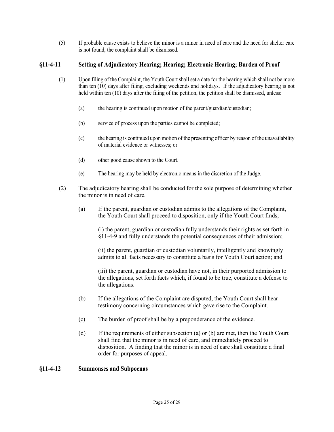(5) If probable cause exists to believe the minor is a minor in need of care and the need for shelter care is not found, the complaint shall be dismissed.

# <span id="page-24-0"></span>**§11-4-11 Setting of Adjudicatory Hearing; Hearing; Electronic Hearing; Burden of Proof**

- (1) Upon filing of the Complaint, the Youth Court shall set a date for the hearing which shall not be more than ten (10) days after filing, excluding weekends and holidays. If the adjudicatory hearing is not held within ten (10) days after the filing of the petition, the petition shall be dismissed, unless:
	- (a) the hearing is continued upon motion of the parent/guardian/custodian;
	- (b) service of process upon the parties cannot be completed;
	- (c) the hearing is continued upon motion of the presenting officer by reason of the unavailability of material evidence or witnesses; or
	- (d) other good cause shown to the Court.
	- (e) The hearing may be held by electronic means in the discretion of the Judge.
- (2) The adjudicatory hearing shall be conducted for the sole purpose of determining whether the minor is in need of care.
	- (a) If the parent, guardian or custodian admits to the allegations of the Complaint, the Youth Court shall proceed to disposition, only if the Youth Court finds;

(i) the parent, guardian or custodian fully understands their rights as set forth in §11-4-9 and fully understands the potential consequences of their admission;

(ii) the parent, guardian or custodian voluntarily, intelligently and knowingly admits to all facts necessary to constitute a basis for Youth Court action; and

(iii) the parent, guardian or custodian have not, in their purported admission to the allegations, set forth facts which, if found to be true, constitute a defense to the allegations.

- (b) If the allegations of the Complaint are disputed, the Youth Court shall hear testimony concerning circumstances which gave rise to the Complaint.
- (c) The burden of proof shall be by a preponderance of the evidence.
- (d) If the requirements of either subsection (a) or (b) are met, then the Youth Court shall find that the minor is in need of care, and immediately proceed to disposition. A finding that the minor is in need of care shall constitute a final order for purposes of appeal.

#### <span id="page-24-1"></span>**§11-4-12 Summonses and Subpoenas**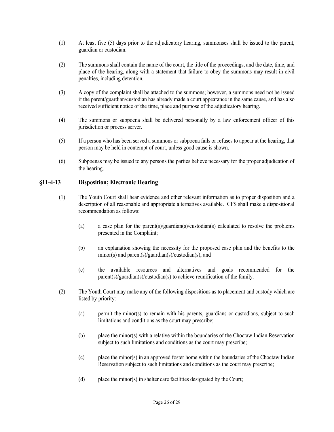- (1) At least five (5) days prior to the adjudicatory hearing, summonses shall be issued to the parent, guardian or custodian.
- (2) The summons shall contain the name of the court, the title of the proceedings, and the date, time, and place of the hearing, along with a statement that failure to obey the summons may result in civil penalties, including detention.
- (3) A copy of the complaint shall be attached to the summons; however, a summons need not be issued if the parent/guardian/custodian has already made a court appearance in the same cause, and has also received sufficient notice of the time, place and purpose of the adjudicatory hearing.
- (4) The summons or subpoena shall be delivered personally by a law enforcement officer of this jurisdiction or process server.
- (5) If a person who has been served a summons or subpoena fails or refuses to appear at the hearing, that person may be held in contempt of court, unless good cause is shown.
- (6) Subpoenas may be issued to any persons the parties believe necessary for the proper adjudication of the hearing.

## <span id="page-25-0"></span>**§11-4-13 Disposition; Electronic Hearing**

- (1) The Youth Court shall hear evidence and other relevant information as to proper disposition and a description of all reasonable and appropriate alternatives available. CFS shall make a dispositional recommendation as follows:
	- (a) a case plan for the parent(s)/guardian(s)/custodian(s) calculated to resolve the problems presented in the Complaint;
	- (b) an explanation showing the necessity for the proposed case plan and the benefits to the minor(s) and parent(s)/guardian(s)/custodian(s); and
	- (c) the available resources and alternatives and goals recommended for the parent(s)/guardian(s)/custodian(s) to achieve reunification of the family.
- (2) The Youth Court may make any of the following dispositions as to placement and custody which are listed by priority:
	- (a) permit the minor(s) to remain with his parents, guardians or custodians, subject to such limitations and conditions as the court may prescribe;
	- (b) place the minor(s) with a relative within the boundaries of the Choctaw Indian Reservation subject to such limitations and conditions as the court may prescribe;
	- (c) place the minor(s) in an approved foster home within the boundaries of the Choctaw Indian Reservation subject to such limitations and conditions as the court may prescribe;
	- (d) place the minor(s) in shelter care facilities designated by the Court;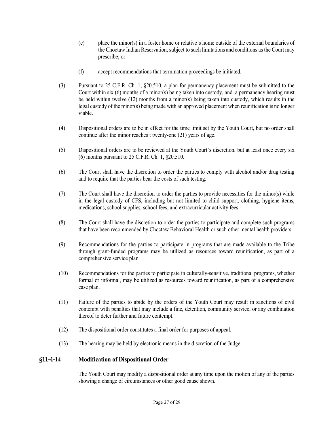- (e) place the minor(s) in a foster home or relative's home outside of the external boundaries of the Choctaw Indian Reservation, subject to such limitations and conditions as the Court may prescribe; or
- (f) accept recommendations that termination proceedings be initiated.
- (3) Pursuant to 25 C.F.R. Ch. 1, §20.510, a plan for permanency placement must be submitted to the Court within six (6) months of a minor(s) being taken into custody, and a permanency hearing must be held within twelve (12) months from a minor(s) being taken into custody, which results in the legal custody of the minor(s) being made with an approved placement when reunification is no longer viable.
- (4) Dispositional orders are to be in effect for the time limit set by the Youth Court, but no order shall continue after the minor reaches t twenty-one (21) years of age.
- (5) Dispositional orders are to be reviewed at the Youth Court's discretion, but at least once every six (6) months pursuant to 25 C.F.R. Ch. 1, §20.510.
- (6) The Court shall have the discretion to order the parties to comply with alcohol and/or drug testing and to require that the parties bear the costs of such testing.
- (7) The Court shall have the discretion to order the parties to provide necessities for the minor(s) while in the legal custody of CFS, including but not limited to child support, clothing, hygiene items, medications, school supplies, school fees, and extracurricular activity fees.
- (8) The Court shall have the discretion to order the parties to participate and complete such programs that have been recommended by Choctaw Behavioral Health or such other mental health providers.
- (9) Recommendations for the parties to participate in programs that are made available to the Tribe through grant-funded programs may be utilized as resources toward reunification, as part of a comprehensive service plan.
- (10) Recommendations for the parties to participate in culturally-sensitive, traditional programs, whether formal or informal, may be utilized as resources toward reunification, as part of a comprehensive case plan.
- (11) Failure of the parties to abide by the orders of the Youth Court may result in sanctions of civil contempt with penalties that may include a fine, detention, community service, or any combination thereof to deter further and future contempt.
- (12) The dispositional order constitutes a final order for purposes of appeal.
- (13) The hearing may be held by electronic means in the discretion of the Judge.

## <span id="page-26-0"></span>**§11-4-14 Modification of Dispositional Order**

The Youth Court may modify a dispositional order at any time upon the motion of any of the parties showing a change of circumstances or other good cause shown.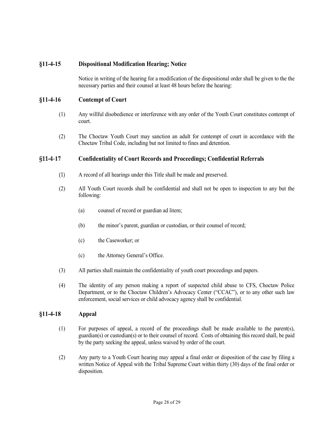# <span id="page-27-0"></span>**§11-4-15 Dispositional Modification Hearing; Notice**

Notice in writing of the hearing for a modification of the dispositional order shall be given to the the necessary parties and their counsel at least 48 hours before the hearing:

## <span id="page-27-1"></span>**§11-4-16 Contempt of Court**

- (1) Any willful disobedience or interference with any order of the Youth Court constitutes contempt of court.
- (2) The Choctaw Youth Court may sanction an adult for contempt of court in accordance with the Choctaw Tribal Code, including but not limited to fines and detention.

## <span id="page-27-2"></span>**§11-4**-**17 Confidentiality of Court Records and Proceedings; Confidential Referrals**

- (1) A record of all hearings under this Title shall be made and preserved.
- (2) All Youth Court records shall be confidential and shall not be open to inspection to any but the following:
	- (a) counsel of record or guardian ad litem;
	- (b) the minor's parent, guardian or custodian, or their counsel of record;
	- (c) the Caseworker; or
	- (c) the Attorney General's Office.
- (3) All parties shall maintain the confidentiality of youth court proceedings and papers.
- (4) The identity of any person making a report of suspected child abuse to CFS, Choctaw Police Department, or to the Choctaw Children's Advocacy Center ("CCAC"), or to any other such law enforcement, social services or child advocacy agency shall be confidential.

## <span id="page-27-3"></span>**§11-4-18 Appeal**

- (1) For purposes of appeal, a record of the proceedings shall be made available to the parent(s), guardian(s) or custodian(s) or to their counsel of record. Costs of obtaining this record shall, be paid by the party seeking the appeal, unless waived by order of the court.
- (2) Any party to a Youth Court hearing may appeal a final order or disposition of the case by filing a written Notice of Appeal with the Tribal Supreme Court within thirty (30) days of the final order or disposition.